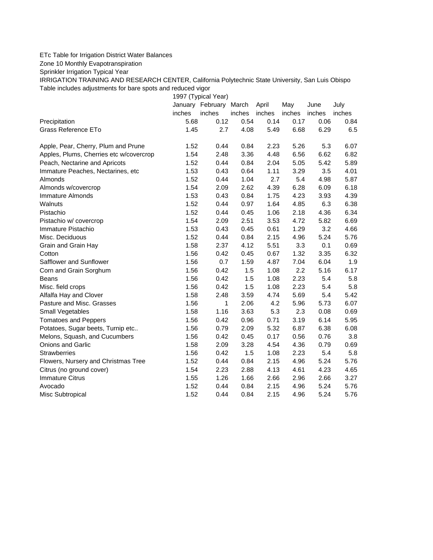## ETc Table for Irrigation District Water Balances

Zone 10 Monthly Evapotranspiration

Sprinkler Irrigation Typical Year

IRRIGATION TRAINING AND RESEARCH CENTER, California Polytechnic State University, San Luis Obispo Table includes adjustments for bare spots and reduced vigor

1997 (Typical Year)

|                                         |        | January February | March  | April  | May    | June   | July   |
|-----------------------------------------|--------|------------------|--------|--------|--------|--------|--------|
|                                         | inches | inches           | inches | inches | inches | inches | inches |
| Precipitation                           | 5.68   | 0.12             | 0.54   | 0.14   | 0.17   | 0.06   | 0.84   |
| Grass Reference ETo                     | 1.45   | 2.7              | 4.08   | 5.49   | 6.68   | 6.29   | 6.5    |
| Apple, Pear, Cherry, Plum and Prune     | 1.52   | 0.44             | 0.84   | 2.23   | 5.26   | 5.3    | 6.07   |
| Apples, Plums, Cherries etc w/covercrop | 1.54   | 2.48             | 3.36   | 4.48   | 6.56   | 6.62   | 6.82   |
| Peach, Nectarine and Apricots           | 1.52   | 0.44             | 0.84   | 2.04   | 5.05   | 5.42   | 5.89   |
| Immature Peaches, Nectarines, etc       | 1.53   | 0.43             | 0.64   | 1.11   | 3.29   | 3.5    | 4.01   |
| Almonds                                 | 1.52   | 0.44             | 1.04   | 2.7    | 5.4    | 4.98   | 5.87   |
| Almonds w/covercrop                     | 1.54   | 2.09             | 2.62   | 4.39   | 6.28   | 6.09   | 6.18   |
| Immature Almonds                        | 1.53   | 0.43             | 0.84   | 1.75   | 4.23   | 3.93   | 4.39   |
| Walnuts                                 | 1.52   | 0.44             | 0.97   | 1.64   | 4.85   | 6.3    | 6.38   |
| Pistachio                               | 1.52   | 0.44             | 0.45   | 1.06   | 2.18   | 4.36   | 6.34   |
| Pistachio w/ covercrop                  | 1.54   | 2.09             | 2.51   | 3.53   | 4.72   | 5.82   | 6.69   |
| Immature Pistachio                      | 1.53   | 0.43             | 0.45   | 0.61   | 1.29   | 3.2    | 4.66   |
| Misc. Deciduous                         | 1.52   | 0.44             | 0.84   | 2.15   | 4.96   | 5.24   | 5.76   |
| Grain and Grain Hay                     | 1.58   | 2.37             | 4.12   | 5.51   | 3.3    | 0.1    | 0.69   |
| Cotton                                  | 1.56   | 0.42             | 0.45   | 0.67   | 1.32   | 3.35   | 6.32   |
| Safflower and Sunflower                 | 1.56   | 0.7              | 1.59   | 4.87   | 7.04   | 6.04   | 1.9    |
| Corn and Grain Sorghum                  | 1.56   | 0.42             | 1.5    | 1.08   | 2.2    | 5.16   | 6.17   |
| <b>Beans</b>                            | 1.56   | 0.42             | 1.5    | 1.08   | 2.23   | 5.4    | 5.8    |
| Misc. field crops                       | 1.56   | 0.42             | 1.5    | 1.08   | 2.23   | 5.4    | 5.8    |
| Alfalfa Hay and Clover                  | 1.58   | 2.48             | 3.59   | 4.74   | 5.69   | 5.4    | 5.42   |
| Pasture and Misc. Grasses               | 1.56   | 1                | 2.06   | 4.2    | 5.96   | 5.73   | 6.07   |
| Small Vegetables                        | 1.58   | 1.16             | 3.63   | 5.3    | 2.3    | 0.08   | 0.69   |
| <b>Tomatoes and Peppers</b>             | 1.56   | 0.42             | 0.96   | 0.71   | 3.19   | 6.14   | 5.95   |
| Potatoes, Sugar beets, Turnip etc       | 1.56   | 0.79             | 2.09   | 5.32   | 6.87   | 6.38   | 6.08   |
| Melons, Squash, and Cucumbers           | 1.56   | 0.42             | 0.45   | 0.17   | 0.56   | 0.76   | 3.8    |
| Onions and Garlic                       | 1.58   | 2.09             | 3.28   | 4.54   | 4.36   | 0.79   | 0.69   |
| <b>Strawberries</b>                     | 1.56   | 0.42             | 1.5    | 1.08   | 2.23   | 5.4    | 5.8    |
| Flowers, Nursery and Christmas Tree     | 1.52   | 0.44             | 0.84   | 2.15   | 4.96   | 5.24   | 5.76   |
| Citrus (no ground cover)                | 1.54   | 2.23             | 2.88   | 4.13   | 4.61   | 4.23   | 4.65   |
| <b>Immature Citrus</b>                  | 1.55   | 1.26             | 1.66   | 2.66   | 2.96   | 2.66   | 3.27   |
| Avocado                                 | 1.52   | 0.44             | 0.84   | 2.15   | 4.96   | 5.24   | 5.76   |
| Misc Subtropical                        | 1.52   | 0.44             | 0.84   | 2.15   | 4.96   | 5.24   | 5.76   |